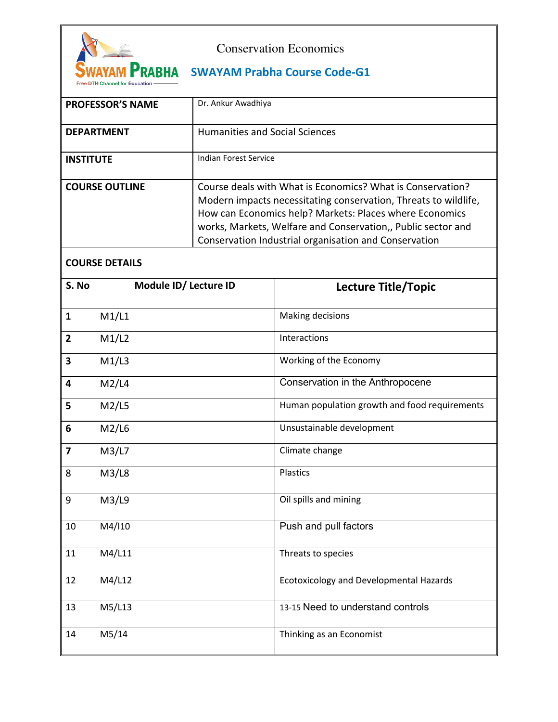

## Conservation Economics

## WAYAM PRABHA SWAYAM Prabha Course Code-G1

| <b>PROFESSOR'S NAME</b> | Dr. Ankur Awadhiya                                                                                                                                                                                                                                                                                                |
|-------------------------|-------------------------------------------------------------------------------------------------------------------------------------------------------------------------------------------------------------------------------------------------------------------------------------------------------------------|
| <b>DEPARTMENT</b>       | <b>Humanities and Social Sciences</b>                                                                                                                                                                                                                                                                             |
| <b>INSTITUTE</b>        | Indian Forest Service                                                                                                                                                                                                                                                                                             |
| <b>COURSE OUTLINE</b>   | Course deals with What is Economics? What is Conservation?<br>Modern impacts necessitating conservation, Threats to wildlife,<br>How can Economics help? Markets: Places where Economics<br>works, Markets, Welfare and Conservation,, Public sector and<br>Conservation Industrial organisation and Conservation |

## **COURSE DETAILS**

| S. No          | Module ID/ Lecture ID | <b>Lecture Title/Topic</b>                     |
|----------------|-----------------------|------------------------------------------------|
| $\mathbf{1}$   | M1/L1                 | Making decisions                               |
| $\overline{2}$ | M1/L2                 | Interactions                                   |
| 3              | M1/L3                 | Working of the Economy                         |
| 4              | M2/L4                 | Conservation in the Anthropocene               |
| 5              | M2/L5                 | Human population growth and food requirements  |
| 6              | M2/L6                 | Unsustainable development                      |
| $\overline{7}$ | M3/L7                 | Climate change                                 |
| 8              | M3/L8                 | Plastics                                       |
| 9              | M3/L9                 | Oil spills and mining                          |
| 10             | M4/I10                | Push and pull factors                          |
| 11             | M4/L11                | Threats to species                             |
| 12             | M4/L12                | <b>Ecotoxicology and Developmental Hazards</b> |
| 13             | M5/L13                | 13-15 Need to understand controls              |
| 14             | M5/14                 | Thinking as an Economist                       |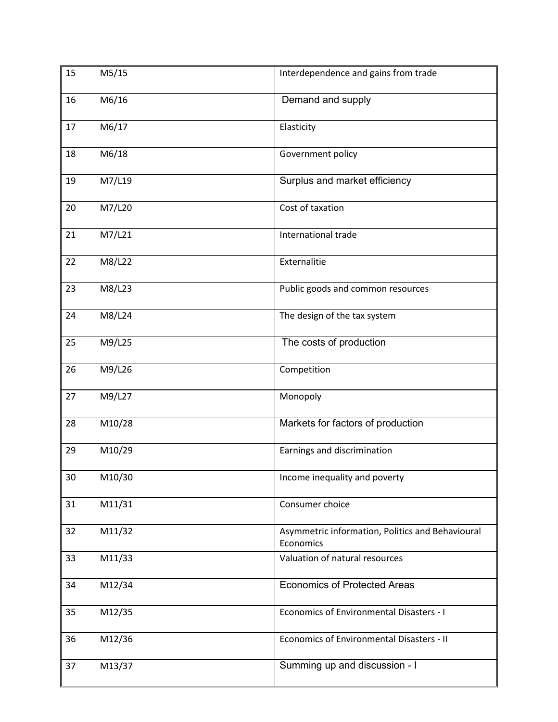| 15 | M5/15  | Interdependence and gains from trade                          |
|----|--------|---------------------------------------------------------------|
| 16 | M6/16  | Demand and supply                                             |
| 17 | M6/17  | Elasticity                                                    |
| 18 | M6/18  | Government policy                                             |
| 19 | M7/L19 | Surplus and market efficiency                                 |
| 20 | M7/L20 | Cost of taxation                                              |
| 21 | M7/L21 | International trade                                           |
| 22 | M8/L22 | Externalitie                                                  |
| 23 | M8/L23 | Public goods and common resources                             |
| 24 | M8/L24 | The design of the tax system                                  |
| 25 | M9/L25 | The costs of production                                       |
| 26 | M9/L26 | Competition                                                   |
| 27 | M9/L27 | Monopoly                                                      |
| 28 | M10/28 | Markets for factors of production                             |
| 29 | M10/29 | Earnings and discrimination                                   |
| 30 | M10/30 | Income inequality and poverty                                 |
| 31 | M11/31 | Consumer choice                                               |
| 32 | M11/32 | Asymmetric information, Politics and Behavioural<br>Economics |
| 33 | M11/33 | Valuation of natural resources                                |
| 34 | M12/34 | <b>Economics of Protected Areas</b>                           |
| 35 | M12/35 | Economics of Environmental Disasters - I                      |
| 36 | M12/36 | Economics of Environmental Disasters - II                     |
| 37 | M13/37 | Summing up and discussion - I                                 |